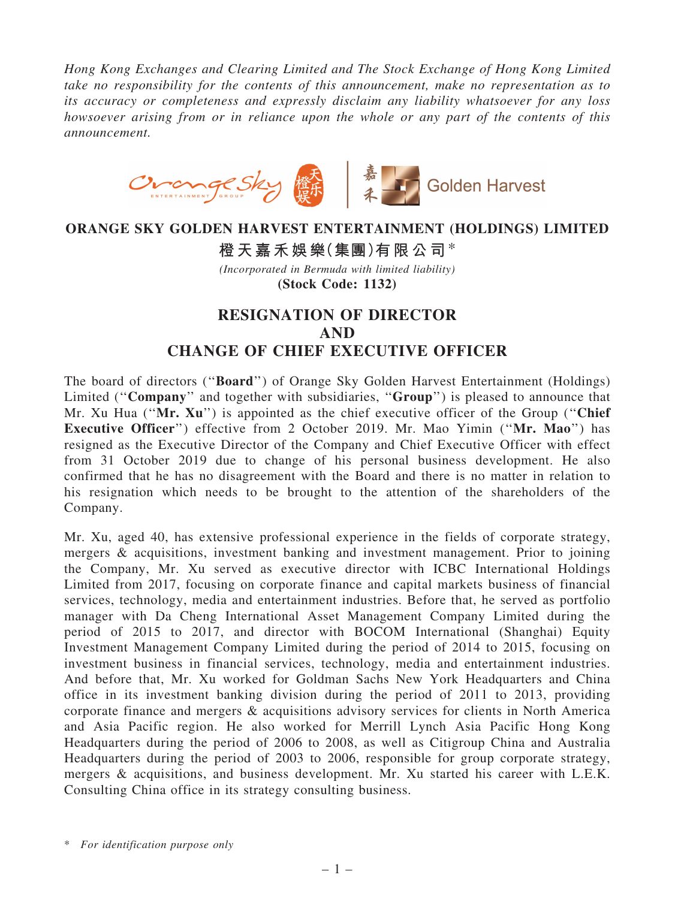*Hong Kong Exchanges and Clearing Limited and The Stock Exchange of Hong Kong Limited take no responsibility for the contents of this announcement, make no representation as to its accuracy or completeness and expressly disclaim any liability whatsoever for any loss howsoever arising from or in reliance upon the whole or any part of the contents of this announcement.*



## ORANGE SKY GOLDEN HARVEST ENTERTAINMENT (HOLDINGS) LIMITED 橙天嘉禾娛樂(集團)有限公司\* *(Incorporated in Bermuda with limited liability)* (Stock Code: 1132)

## RESIGNATION OF DIRECTOR AND CHANGE OF CHIEF EXECUTIVE OFFICER

The board of directors (''Board'') of Orange Sky Golden Harvest Entertainment (Holdings) Limited ("Company" and together with subsidiaries, "Group") is pleased to announce that Mr. Xu Hua ("Mr. Xu") is appointed as the chief executive officer of the Group ("Chief") Executive Officer'') effective from 2 October 2019. Mr. Mao Yimin (''Mr. Mao'') has resigned as the Executive Director of the Company and Chief Executive Officer with effect from 31 October 2019 due to change of his personal business development. He also confirmed that he has no disagreement with the Board and there is no matter in relation to his resignation which needs to be brought to the attention of the shareholders of the Company.

Mr. Xu, aged 40, has extensive professional experience in the fields of corporate strategy, mergers & acquisitions, investment banking and investment management. Prior to joining the Company, Mr. Xu served as executive director with ICBC International Holdings Limited from 2017, focusing on corporate finance and capital markets business of financial services, technology, media and entertainment industries. Before that, he served as portfolio manager with Da Cheng International Asset Management Company Limited during the period of 2015 to 2017, and director with BOCOM International (Shanghai) Equity Investment Management Company Limited during the period of 2014 to 2015, focusing on investment business in financial services, technology, media and entertainment industries. And before that, Mr. Xu worked for Goldman Sachs New York Headquarters and China office in its investment banking division during the period of 2011 to 2013, providing corporate finance and mergers & acquisitions advisory services for clients in North America and Asia Pacific region. He also worked for Merrill Lynch Asia Pacific Hong Kong Headquarters during the period of 2006 to 2008, as well as Citigroup China and Australia Headquarters during the period of 2003 to 2006, responsible for group corporate strategy, mergers & acquisitions, and business development. Mr. Xu started his career with L.E.K. Consulting China office in its strategy consulting business.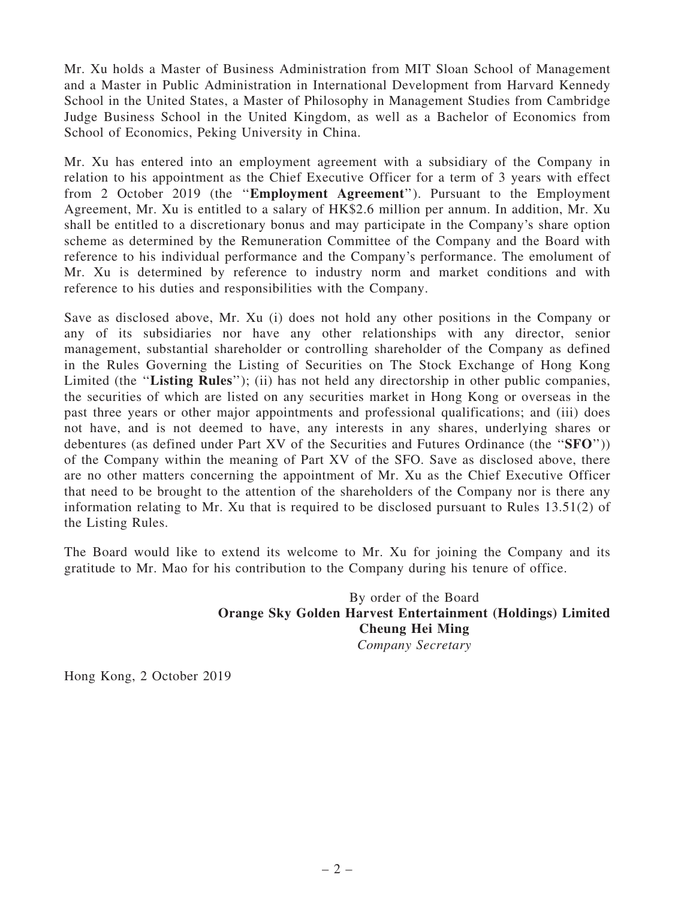Mr. Xu holds a Master of Business Administration from MIT Sloan School of Management and a Master in Public Administration in International Development from Harvard Kennedy School in the United States, a Master of Philosophy in Management Studies from Cambridge Judge Business School in the United Kingdom, as well as a Bachelor of Economics from School of Economics, Peking University in China.

Mr. Xu has entered into an employment agreement with a subsidiary of the Company in relation to his appointment as the Chief Executive Officer for a term of 3 years with effect from 2 October 2019 (the ''Employment Agreement''). Pursuant to the Employment Agreement, Mr. Xu is entitled to a salary of HK\$2.6 million per annum. In addition, Mr. Xu shall be entitled to a discretionary bonus and may participate in the Company's share option scheme as determined by the Remuneration Committee of the Company and the Board with reference to his individual performance and the Company's performance. The emolument of Mr. Xu is determined by reference to industry norm and market conditions and with reference to his duties and responsibilities with the Company.

Save as disclosed above, Mr. Xu (i) does not hold any other positions in the Company or any of its subsidiaries nor have any other relationships with any director, senior management, substantial shareholder or controlling shareholder of the Company as defined in the Rules Governing the Listing of Securities on The Stock Exchange of Hong Kong Limited (the "Listing Rules"); (ii) has not held any directorship in other public companies, the securities of which are listed on any securities market in Hong Kong or overseas in the past three years or other major appointments and professional qualifications; and (iii) does not have, and is not deemed to have, any interests in any shares, underlying shares or debentures (as defined under Part XV of the Securities and Futures Ordinance (the ''SFO'')) of the Company within the meaning of Part XV of the SFO. Save as disclosed above, there are no other matters concerning the appointment of Mr. Xu as the Chief Executive Officer that need to be brought to the attention of the shareholders of the Company nor is there any information relating to Mr. Xu that is required to be disclosed pursuant to Rules 13.51(2) of the Listing Rules.

The Board would like to extend its welcome to Mr. Xu for joining the Company and its gratitude to Mr. Mao for his contribution to the Company during his tenure of office.

> By order of the Board Orange Sky Golden Harvest Entertainment (Holdings) Limited Cheung Hei Ming *Company Secretary*

Hong Kong, 2 October 2019